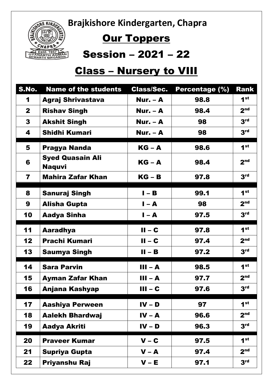**Brajkishore Kindergarten, Chapra**



## **Our Toppers**

## Session – 2021 – 22

## Class – Nursery to VIII

| S.No.                   | <b>Name of the students</b>              | <b>Class/Sec.</b> | <b>Percentage (%)</b> | Rank            |
|-------------------------|------------------------------------------|-------------------|-----------------------|-----------------|
| 1                       | <b>Agraj Shrivastava</b>                 | <b>Nur. - A</b>   | 98.8                  | 1 <sup>st</sup> |
| $\mathbf{2}$            | <b>Rishav Singh</b>                      | Nur. $-$ A        | 98.4                  | 2 <sub>nd</sub> |
| 3                       | <b>Akshit Singh</b>                      | Nur. $-$ A        | 98                    | 3 <sup>rd</sup> |
| 4                       | <b>Shidhi Kumari</b>                     | Nur. $-$ A        | 98                    | 3 <sup>rd</sup> |
| 5                       | <b>Pragya Nanda</b>                      | $KG - A$          | 98.6                  | 1 <sup>st</sup> |
| 6                       | <b>Syed Quasain Ali</b><br><b>Naquvi</b> | $KG - A$          | 98.4                  | 2 <sup>nd</sup> |
| $\overline{\mathbf{7}}$ | <b>Mahira Zafar Khan</b>                 | $KG - B$          | 97.8                  | 3 <sup>rd</sup> |
| 8                       | <b>Sanuraj Singh</b>                     | $I - B$           | 99.1                  | 1 <sup>st</sup> |
| 9                       | <b>Alisha Gupta</b>                      | $I - A$           | 98                    | 2 <sub>nd</sub> |
| 10                      | <b>Aadya Sinha</b>                       | $I - A$           | 97.5                  | 3 <sup>rd</sup> |
| 11                      | <b>Aaradhya</b>                          | $II - C$          | 97.8                  | 1 <sup>st</sup> |
| 12                      | <b>Prachi Kumari</b>                     | $II - C$          | 97.4                  | 2 <sub>nd</sub> |
| 13                      | <b>Saumya Singh</b>                      | $II - B$          | 97.2                  | 3 <sup>rd</sup> |
| 14                      | <b>Sara Parvin</b>                       | $III - A$         | 98.5                  | 1 <sup>st</sup> |
| 15                      | Ayman Zafar Khan                         | $III - A$         | 97.7                  | 2 <sub>nd</sub> |
| 16                      | Anjana Kashyap                           | $III - C$         | 97.6                  | <b>3rd</b>      |
| 17                      | <b>Aashiya Perween</b>                   | $IV - D$          | 97                    | 1 <sup>st</sup> |
| 18                      | <b>Aalekh Bhardwaj</b>                   | $IV - A$          | 96.6                  | 2 <sub>nd</sub> |
| 19                      | <b>Aadya Akriti</b>                      | $IV - D$          | 96.3                  | 3 <sup>rd</sup> |
| 20                      | <b>Praveer Kumar</b>                     | $V - C$           | 97.5                  | 1 <sup>st</sup> |
| 21                      | <b>Supriya Gupta</b>                     | $V - A$           | 97.4                  | 2 <sub>nd</sub> |
| 22                      | Priyanshu Raj                            | $V - E$           | 97.1                  | 3 <sup>rd</sup> |